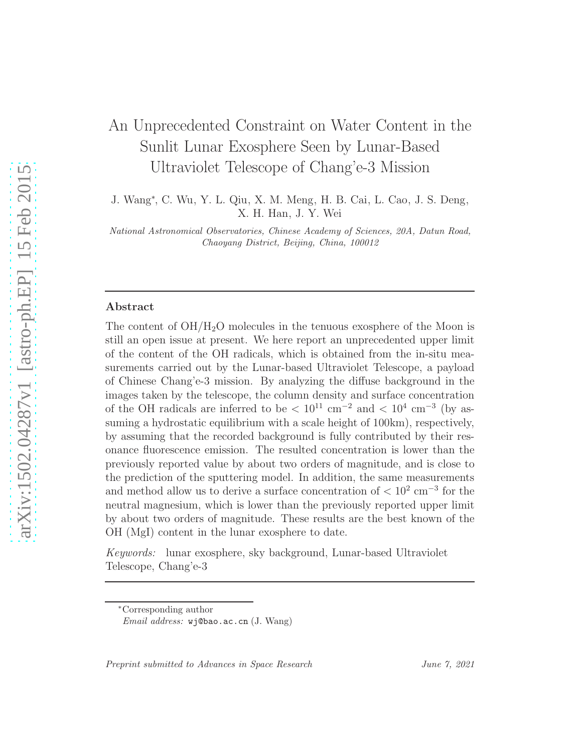# An Unprecedented Constraint on Water Content in the Sunlit Lunar Exosphere Seen by Lunar-Based Ultraviolet Telescope of Chang'e-3 Mission

J. Wang<sup>∗</sup> , C. Wu, Y. L. Qiu, X. M. Meng, H. B. Cai, L. Cao, J. S. Deng, X. H. Han, J. Y. Wei

National Astronomical Observatories, Chinese Academy of Sciences, 20A, Datun Road, Chaoyang District, Beijing, China, 100012

#### Abstract

The content of  $OH/H<sub>2</sub>O$  molecules in the tenuous exosphere of the Moon is still an open issue at present. We here report an unprecedented upper limit of the content of the OH radicals, which is obtained from the in-situ measurements carried out by the Lunar-based Ultraviolet Telescope, a payload of Chinese Chang'e-3 mission. By analyzing the diffuse background in the images taken by the telescope, the column density and surface concentration of the OH radicals are inferred to be  $\rm < 10^{11}$  cm<sup>-2</sup> and  $\rm < 10^{4}$  cm<sup>-3</sup> (by assuming a hydrostatic equilibrium with a scale height of 100km), respectively, by assuming that the recorded background is fully contributed by their resonance fluorescence emission. The resulted concentration is lower than the previously reported value by about two orders of magnitude, and is close to the prediction of the sputtering model. In addition, the same measurements and method allow us to derive a surface concentration of  $\langle 10^2 \text{ cm}^{-3}$  for the neutral magnesium, which is lower than the previously reported upper limit by about two orders of magnitude. These results are the best known of the OH (MgI) content in the lunar exosphere to date.

*Keywords:* lunar exosphere, sky background, Lunar-based Ultraviolet Telescope, Chang'e-3

Preprint submitted to Advances in Space Research June 7, 2021

<sup>∗</sup>Corresponding author Email address: wj@bao.ac.cn (J. Wang)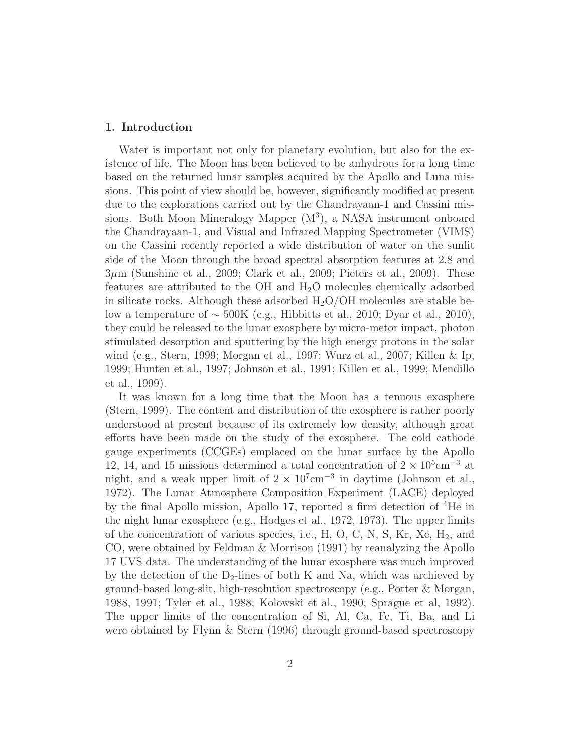## 1. Introduction

Water is important not only for planetary evolution, but also for the existence of life. The Moon has been believed to be anhydrous for a long time based on the returned lunar samples acquired by the Apollo and Luna missions. This point of view should be, however, significantly modified at present due to the explorations carried out by the Chandrayaan-1 and Cassini missions. Both Moon Mineralogy Mapper (M<sup>3</sup>), a NASA instrument onboard the Chandrayaan-1, and Visual and Infrared Mapping Spectrometer (VIMS) on the Cassini recently reported a wide distribution of water on the sunlit side of the Moon through the broad spectral absorption features at 2.8 and 3µm (Sunshine et al., 2009; Clark et al., 2009; Pieters et al., 2009). These features are attributed to the OH and  $H<sub>2</sub>O$  molecules chemically adsorbed in silicate rocks. Although these adsorbed  $H_2O/OH$  molecules are stable below a temperature of  $\sim$  500K (e.g., Hibbitts et al., 2010; Dyar et al., 2010), they could be released to the lunar exosphere by micro-metor impact, photon stimulated desorption and sputtering by the high energy protons in the solar wind (e.g., Stern, 1999; Morgan et al., 1997; Wurz et al., 2007; Killen & Ip, 1999; Hunten et al., 1997; Johnson et al., 1991; Killen et al., 1999; Mendillo et al., 1999).

It was known for a long time that the Moon has a tenuous exosphere (Stern, 1999). The content and distribution of the exosphere is rather poorly understood at present because of its extremely low density, although great efforts have been made on the study of the exosphere. The cold cathode gauge experiments (CCGEs) emplaced on the lunar surface by the Apollo 12, 14, and 15 missions determined a total concentration of  $2 \times 10^5$ cm<sup>-3</sup> at night, and a weak upper limit of  $2 \times 10^7$ cm<sup>-3</sup> in daytime (Johnson et al., 1972). The Lunar Atmosphere Composition Experiment (LACE) deployed by the final Apollo mission, Apollo 17, reported a firm detection of <sup>4</sup>He in the night lunar exosphere (e.g., Hodges et al., 1972, 1973). The upper limits of the concentration of various species, i.e.,  $H$ ,  $O$ ,  $C$ ,  $N$ ,  $S$ ,  $Kr$ ,  $Xe$ ,  $H_2$ , and CO, were obtained by Feldman & Morrison (1991) by reanalyzing the Apollo 17 UVS data. The understanding of the lunar exosphere was much improved by the detection of the  $D_2$ -lines of both K and Na, which was archieved by ground-based long-slit, high-resolution spectroscopy (e.g., Potter & Morgan, 1988, 1991; Tyler et al., 1988; Kolowski et al., 1990; Sprague et al, 1992). The upper limits of the concentration of Si, Al, Ca, Fe, Ti, Ba, and Li were obtained by Flynn & Stern (1996) through ground-based spectroscopy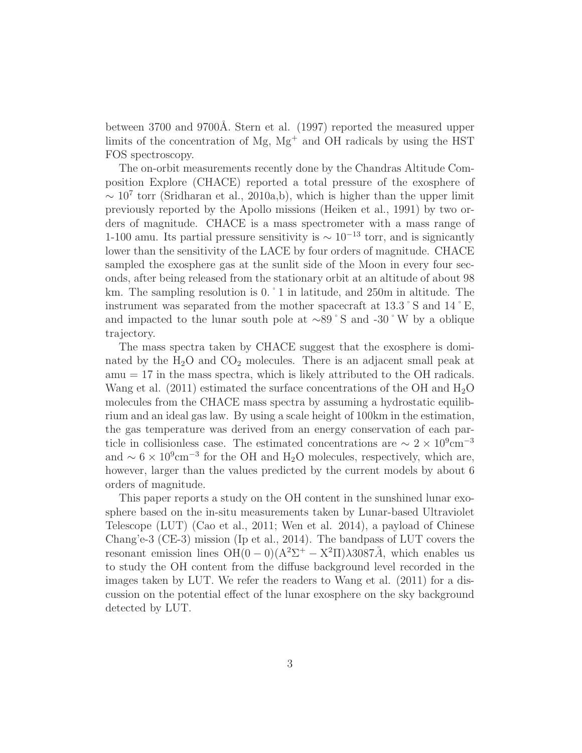between 3700 and 9700Å. Stern et al. (1997) reported the measured upper limits of the concentration of  $Mg$ ,  $Mg<sup>+</sup>$  and OH radicals by using the HST FOS spectroscopy.

The on-orbit measurements recently done by the Chandras Altitude Composition Explore (CHACE) reported a total pressure of the exosphere of  $\sim 10^7$  torr (Sridharan et al., 2010a,b), which is higher than the upper limit previously reported by the Apollo missions (Heiken et al., 1991) by two orders of magnitude. CHACE is a mass spectrometer with a mass range of 1-100 amu. Its partial pressure sensitivity is  $\sim 10^{-13}$  torr, and is signicantly lower than the sensitivity of the LACE by four orders of magnitude. CHACE sampled the exosphere gas at the sunlit side of the Moon in every four seconds, after being released from the stationary orbit at an altitude of about 98 km. The sampling resolution is 0.  $\degree$  1 in latitude, and 250m in altitude. The instrument was separated from the mother spacecraft at 13.3˚S and 14˚E, and impacted to the lunar south pole at ∼89˚S and -30˚W by a oblique trajectory.

The mass spectra taken by CHACE suggest that the exosphere is dominated by the  $H_2O$  and  $CO_2$  molecules. There is an adjacent small peak at  $amu = 17$  in the mass spectra, which is likely attributed to the OH radicals. Wang et al. (2011) estimated the surface concentrations of the OH and  $H_2O$ molecules from the CHACE mass spectra by assuming a hydrostatic equilibrium and an ideal gas law. By using a scale height of 100km in the estimation, the gas temperature was derived from an energy conservation of each particle in collisionless case. The estimated concentrations are  $\sim 2 \times 10^9 \text{cm}^{-3}$ and  $\sim 6 \times 10^9$ cm<sup>-3</sup> for the OH and H<sub>2</sub>O molecules, respectively, which are, however, larger than the values predicted by the current models by about 6 orders of magnitude.

This paper reports a study on the OH content in the sunshined lunar exosphere based on the in-situ measurements taken by Lunar-based Ultraviolet Telescope (LUT) (Cao et al., 2011; Wen et al. 2014), a payload of Chinese Chang'e-3 (CE-3) mission (Ip et al., 2014). The bandpass of LUT covers the resonant emission lines  $OH(0-0)(A^2\Sigma^+ - X^2\Pi)\lambda 3087\AA$ , which enables us to study the OH content from the diffuse background level recorded in the images taken by LUT. We refer the readers to Wang et al. (2011) for a discussion on the potential effect of the lunar exosphere on the sky background detected by LUT.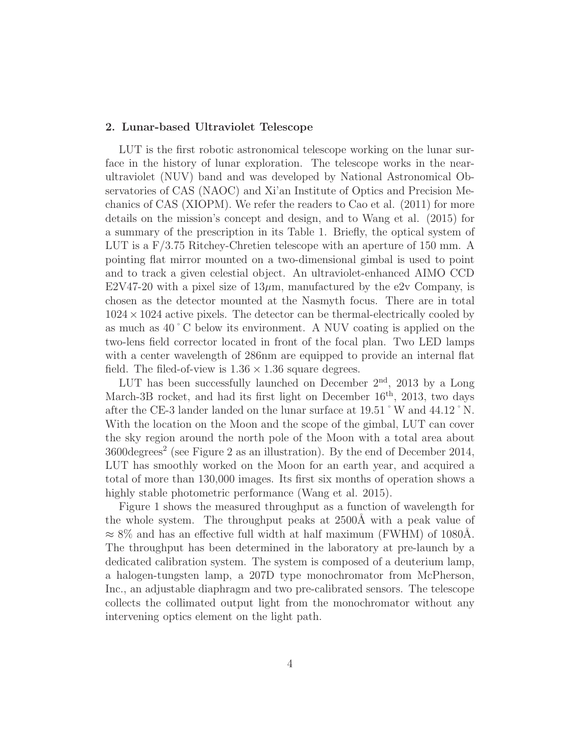## 2. Lunar-based Ultraviolet Telescope

LUT is the first robotic astronomical telescope working on the lunar surface in the history of lunar exploration. The telescope works in the nearultraviolet (NUV) band and was developed by National Astronomical Observatories of CAS (NAOC) and Xi'an Institute of Optics and Precision Mechanics of CAS (XIOPM). We refer the readers to Cao et al. (2011) for more details on the mission's concept and design, and to Wang et al. (2015) for a summary of the prescription in its Table 1. Briefly, the optical system of LUT is a F/3.75 Ritchey-Chretien telescope with an aperture of 150 mm. A pointing flat mirror mounted on a two-dimensional gimbal is used to point and to track a given celestial object. An ultraviolet-enhanced AIMO CCD E2V47-20 with a pixel size of  $13\mu$ m, manufactured by the e2v Company, is chosen as the detector mounted at the Nasmyth focus. There are in total  $1024 \times 1024$  active pixels. The detector can be thermal-electrically cooled by as much as 40˚C below its environment. A NUV coating is applied on the two-lens field corrector located in front of the focal plan. Two LED lamps with a center wavelength of 286nm are equipped to provide an internal flat field. The filed-of-view is  $1.36 \times 1.36$  square degrees.

LUT has been successfully launched on December  $2<sup>nd</sup>$ , 2013 by a Long March-3B rocket, and had its first light on December 16<sup>th</sup>, 2013, two days after the CE-3 lander landed on the lunar surface at 19.51˚W and 44.12˚N. With the location on the Moon and the scope of the gimbal, LUT can cover the sky region around the north pole of the Moon with a total area about  $3600 \text{degrees}^2$  (see Figure 2 as an illustration). By the end of December 2014, LUT has smoothly worked on the Moon for an earth year, and acquired a total of more than 130,000 images. Its first six months of operation shows a highly stable photometric performance (Wang et al. 2015).

Figure 1 shows the measured throughput as a function of wavelength for the whole system. The throughput peaks at 2500Å with a peak value of  $\approx 8\%$  and has an effective full width at half maximum (FWHM) of 1080Å. The throughput has been determined in the laboratory at pre-launch by a dedicated calibration system. The system is composed of a deuterium lamp, a halogen-tungsten lamp, a 207D type monochromator from McPherson, Inc., an adjustable diaphragm and two pre-calibrated sensors. The telescope collects the collimated output light from the monochromator without any intervening optics element on the light path.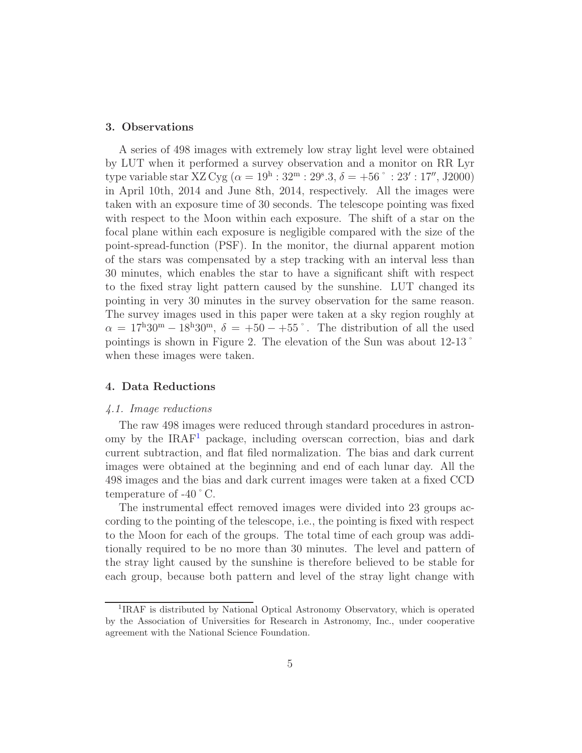## 3. Observations

A series of 498 images with extremely low stray light level were obtained by LUT when it performed a survey observation and a monitor on RR Lyr type variable star XZ Cyg ( $\alpha = 19^{\rm h}$ :  $32^{\rm m}$ :  $29^{\rm s}.3, \delta = +56^{\circ}$ :  $23'$ :  $17''$ , J2000) in April 10th, 2014 and June 8th, 2014, respectively. All the images were taken with an exposure time of 30 seconds. The telescope pointing was fixed with respect to the Moon within each exposure. The shift of a star on the focal plane within each exposure is negligible compared with the size of the point-spread-function (PSF). In the monitor, the diurnal apparent motion of the stars was compensated by a step tracking with an interval less than 30 minutes, which enables the star to have a significant shift with respect to the fixed stray light pattern caused by the sunshine. LUT changed its pointing in very 30 minutes in the survey observation for the same reason. The survey images used in this paper were taken at a sky region roughly at  $\alpha = 17^{\text{h}}30^{\text{m}} - 18^{\text{h}}30^{\text{m}}$ ,  $\delta = +50 - +55^{\circ}$ . The distribution of all the used pointings is shown in Figure 2. The elevation of the Sun was about 12-13˚ when these images were taken.

# 4. Data Reductions

## *4.1. Image reductions*

The raw 498 images were reduced through standard procedures in astronomy by the  $IRAF<sup>1</sup>$  $IRAF<sup>1</sup>$  $IRAF<sup>1</sup>$  package, including overscan correction, bias and dark current subtraction, and flat filed normalization. The bias and dark current images were obtained at the beginning and end of each lunar day. All the 498 images and the bias and dark current images were taken at a fixed CCD temperature of -40˚C.

The instrumental effect removed images were divided into 23 groups according to the pointing of the telescope, i.e., the pointing is fixed with respect to the Moon for each of the groups. The total time of each group was additionally required to be no more than 30 minutes. The level and pattern of the stray light caused by the sunshine is therefore believed to be stable for each group, because both pattern and level of the stray light change with

<span id="page-4-0"></span><sup>&</sup>lt;sup>1</sup>IRAF is distributed by National Optical Astronomy Observatory, which is operated by the Association of Universities for Research in Astronomy, Inc., under cooperative agreement with the National Science Foundation.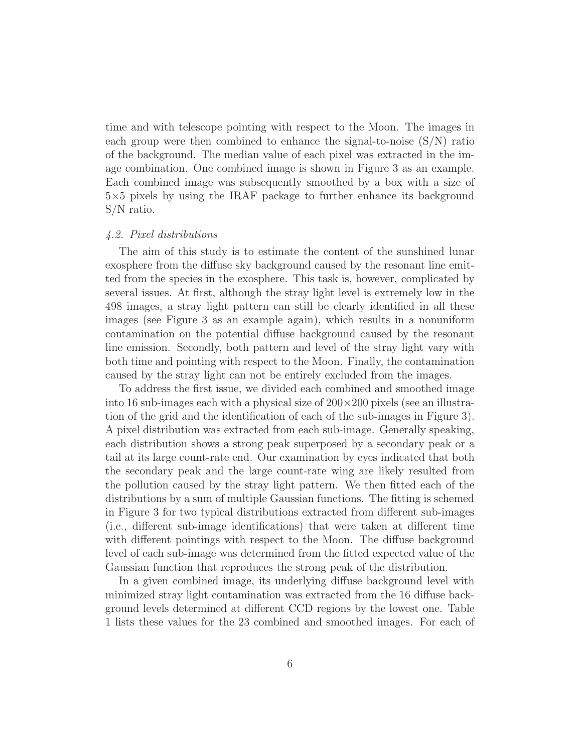time and with telescope pointing with respect to the Moon. The images in each group were then combined to enhance the signal-to-noise  $(S/N)$  ratio of the background. The median value of each pixel was extracted in the image combination. One combined image is shown in Figure 3 as an example. Each combined image was subsequently smoothed by a box with a size of 5×5 pixels by using the IRAF package to further enhance its background S/N ratio.

## *4.2. Pixel distributions*

The aim of this study is to estimate the content of the sunshined lunar exosphere from the diffuse sky background caused by the resonant line emitted from the species in the exosphere. This task is, however, complicated by several issues. At first, although the stray light level is extremely low in the 498 images, a stray light pattern can still be clearly identified in all these images (see Figure 3 as an example again), which results in a nonuniform contamination on the potential diffuse background caused by the resonant line emission. Secondly, both pattern and level of the stray light vary with both time and pointing with respect to the Moon. Finally, the contamination caused by the stray light can not be entirely excluded from the images.

To address the first issue, we divided each combined and smoothed image into 16 sub-images each with a physical size of  $200\times200$  pixels (see an illustration of the grid and the identification of each of the sub-images in Figure 3). A pixel distribution was extracted from each sub-image. Generally speaking, each distribution shows a strong peak superposed by a secondary peak or a tail at its large count-rate end. Our examination by eyes indicated that both the secondary peak and the large count-rate wing are likely resulted from the pollution caused by the stray light pattern. We then fitted each of the distributions by a sum of multiple Gaussian functions. The fitting is schemed in Figure 3 for two typical distributions extracted from different sub-images (i.e., different sub-image identifications) that were taken at different time with different pointings with respect to the Moon. The diffuse background level of each sub-image was determined from the fitted expected value of the Gaussian function that reproduces the strong peak of the distribution.

In a given combined image, its underlying diffuse background level with minimized stray light contamination was extracted from the 16 diffuse background levels determined at different CCD regions by the lowest one. Table 1 lists these values for the 23 combined and smoothed images. For each of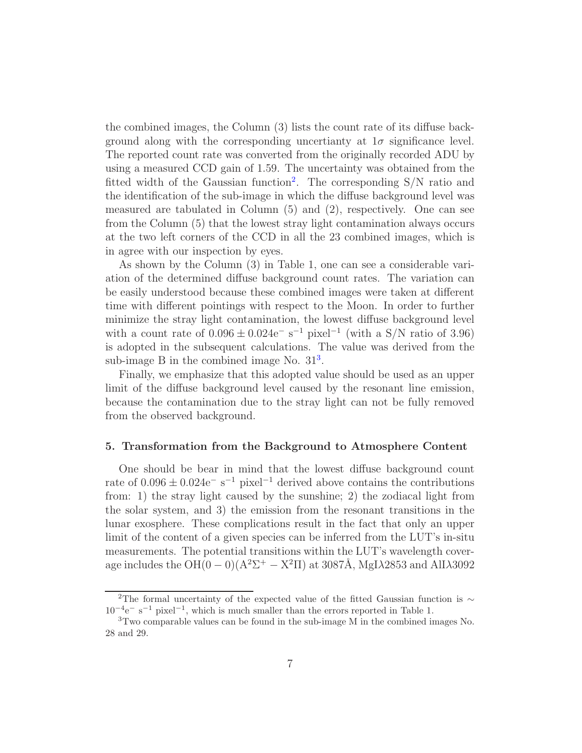the combined images, the Column (3) lists the count rate of its diffuse background along with the corresponding uncertianty at  $1\sigma$  significance level. The reported count rate was converted from the originally recorded ADU by using a measured CCD gain of 1.59. The uncertainty was obtained from the fitted width of the Gaussian function<sup>[2](#page-6-0)</sup>. The corresponding  $S/N$  ratio and the identification of the sub-image in which the diffuse background level was measured are tabulated in Column (5) and (2), respectively. One can see from the Column (5) that the lowest stray light contamination always occurs at the two left corners of the CCD in all the 23 combined images, which is in agree with our inspection by eyes.

As shown by the Column (3) in Table 1, one can see a considerable variation of the determined diffuse background count rates. The variation can be easily understood because these combined images were taken at different time with different pointings with respect to the Moon. In order to further minimize the stray light contamination, the lowest diffuse background level with a count rate of  $0.096 \pm 0.024$ e<sup>-</sup> s<sup>-1</sup> pixel<sup>-1</sup> (with a S/N ratio of 3.96) is adopted in the subsequent calculations. The value was derived from the sub-image B in the combined image No.  $31<sup>3</sup>$  $31<sup>3</sup>$ .

Finally, we emphasize that this adopted value should be used as an upper limit of the diffuse background level caused by the resonant line emission, because the contamination due to the stray light can not be fully removed from the observed background.

## 5. Transformation from the Background to Atmosphere Content

One should be bear in mind that the lowest diffuse background count rate of  $0.096 \pm 0.024$ e<sup>-</sup> s<sup>-1</sup> pixel<sup>-1</sup> derived above contains the contributions from: 1) the stray light caused by the sunshine; 2) the zodiacal light from the solar system, and 3) the emission from the resonant transitions in the lunar exosphere. These complications result in the fact that only an upper limit of the content of a given species can be inferred from the LUT's in-situ measurements. The potential transitions within the LUT's wavelength coverage includes the  $OH(0-0)(A^2\Sigma^+ - X^2\Pi)$  at 3087Å, MgI $\lambda$ 2853 and AlI $\lambda$ 3092

<span id="page-6-0"></span><sup>&</sup>lt;sup>2</sup>The formal uncertainty of the expected value of the fitted Gaussian function is ∼  $10^{-4}$ e<sup>-</sup> s<sup>-1</sup> pixel<sup>-1</sup>, which is much smaller than the errors reported in Table 1.

<span id="page-6-1"></span><sup>3</sup>Two comparable values can be found in the sub-image M in the combined images No. 28 and 29.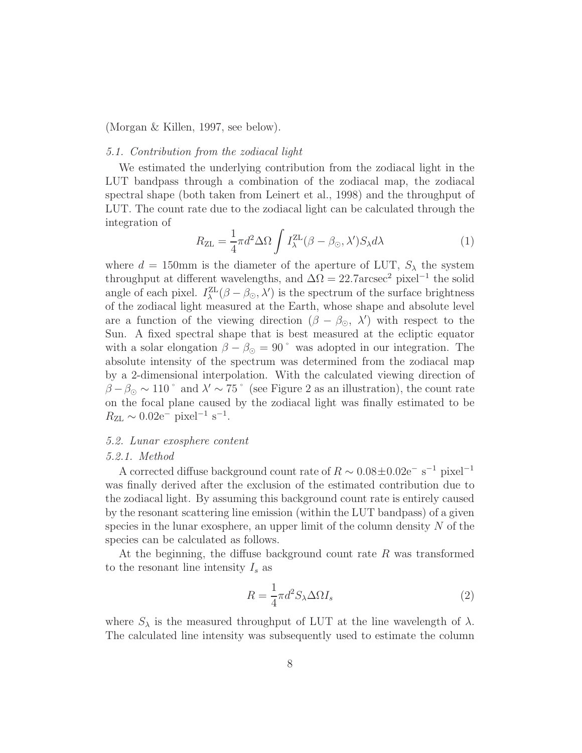(Morgan & Killen, 1997, see below).

# *5.1. Contribution from the zodiacal light*

We estimated the underlying contribution from the zodiacal light in the LUT bandpass through a combination of the zodiacal map, the zodiacal spectral shape (both taken from Leinert et al., 1998) and the throughput of LUT. The count rate due to the zodiacal light can be calculated through the integration of

$$
R_{\rm ZL} = \frac{1}{4}\pi d^2 \Delta \Omega \int I_{\lambda}^{\rm ZL}(\beta - \beta_{\odot}, \lambda') S_{\lambda} d\lambda \tag{1}
$$

where  $d = 150$ mm is the diameter of the aperture of LUT,  $S_{\lambda}$  the system throughput at different wavelengths, and  $\Delta\Omega = 22.7$ arcsec<sup>2</sup> pixel<sup>-1</sup> the solid angle of each pixel.  $I_{\lambda}^{\text{ZL}}(\beta - \beta_{\odot}, \lambda')$  is the spectrum of the surface brightness of the zodiacal light measured at the Earth, whose shape and absolute level are a function of the viewing direction  $(\beta - \beta_{\odot}, \lambda')$  with respect to the Sun. A fixed spectral shape that is best measured at the ecliptic equator with a solar elongation  $\beta - \beta_{\odot} = 90^{\degree}$  was adopted in our integration. The absolute intensity of the spectrum was determined from the zodiacal map by a 2-dimensional interpolation. With the calculated viewing direction of  $\beta - \beta_{\odot} \sim 110^{\degree}$  and  $\lambda' \sim 75^{\degree}$  (see Figure 2 as an illustration), the count rate on the focal plane caused by the zodiacal light was finally estimated to be  $R_{\rm ZL} \sim 0.02e^{-}$  pixel<sup>-1</sup> s<sup>-1</sup>.

# *5.2. Lunar exosphere content*

## *5.2.1. Method*

A corrected diffuse background count rate of  $R \sim 0.08 \pm 0.02$ e<sup>-</sup> s<sup>-1</sup> pixel<sup>-1</sup> was finally derived after the exclusion of the estimated contribution due to the zodiacal light. By assuming this background count rate is entirely caused by the resonant scattering line emission (within the LUT bandpass) of a given species in the lunar exosphere, an upper limit of the column density  $N$  of the species can be calculated as follows.

At the beginning, the diffuse background count rate R was transformed to the resonant line intensity  $I_s$  as

$$
R = \frac{1}{4}\pi d^2 S_\lambda \Delta \Omega I_s \tag{2}
$$

where  $S_{\lambda}$  is the measured throughput of LUT at the line wavelength of  $\lambda$ . The calculated line intensity was subsequently used to estimate the column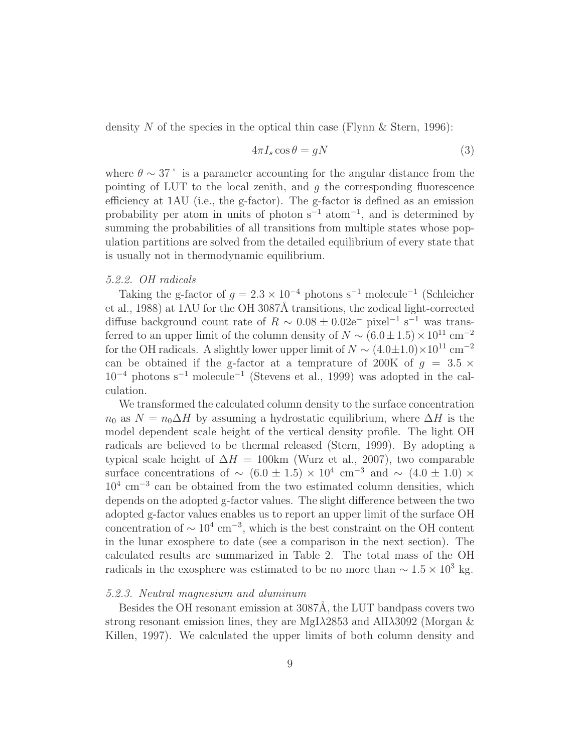density N of the species in the optical thin case (Flynn & Stern, 1996):

$$
4\pi I_s \cos \theta = gN \tag{3}
$$

where  $\theta \sim 37$ ° is a parameter accounting for the angular distance from the pointing of LUT to the local zenith, and  $q$  the corresponding fluorescence efficiency at 1AU (i.e., the g-factor). The g-factor is defined as an emission probability per atom in units of photon  $s^{-1}$  atom<sup>-1</sup>, and is determined by summing the probabilities of all transitions from multiple states whose population partitions are solved from the detailed equilibrium of every state that is usually not in thermodynamic equilibrium.

## *5.2.2. OH radicals*

Taking the g-factor of  $g = 2.3 \times 10^{-4}$  photons s<sup>-1</sup> molecule<sup>-1</sup> (Schleicher et al., 1988) at 1AU for the OH 3087Å transitions, the zodical light-corrected diffuse background count rate of  $R \sim 0.08 \pm 0.02$ e<sup>-</sup> pixel<sup>-1</sup> s<sup>-1</sup> was transferred to an upper limit of the column density of  $N \sim (6.0 \pm 1.5) \times 10^{11}$  cm<sup>-2</sup> for the OH radicals. A slightly lower upper limit of  $N \sim (4.0 \pm 1.0) \times 10^{11}$  cm<sup>-2</sup> can be obtained if the g-factor at a temprature of 200K of  $q = 3.5 \times$ 10<sup>−</sup><sup>4</sup> photons s<sup>−</sup><sup>1</sup> molecule<sup>−</sup><sup>1</sup> (Stevens et al., 1999) was adopted in the calculation.

We transformed the calculated column density to the surface concentration  $n_0$  as  $N = n_0 \Delta H$  by assuming a hydrostatic equilibrium, where  $\Delta H$  is the model dependent scale height of the vertical density profile. The light OH radicals are believed to be thermal released (Stern, 1999). By adopting a typical scale height of  $\Delta H = 100 \text{km}$  (Wurz et al., 2007), two comparable surface concentrations of  $\sim$   $(6.0 \pm 1.5) \times 10^4$  cm<sup>-3</sup> and  $\sim$   $(4.0 \pm 1.0) \times$ 10<sup>4</sup> cm<sup>−</sup><sup>3</sup> can be obtained from the two estimated column densities, which depends on the adopted g-factor values. The slight difference between the two adopted g-factor values enables us to report an upper limit of the surface OH concentration of  $\sim 10^4 \text{ cm}^{-3}$ , which is the best constraint on the OH content in the lunar exosphere to date (see a comparison in the next section). The calculated results are summarized in Table 2. The total mass of the OH radicals in the exosphere was estimated to be no more than  $\sim 1.5 \times 10^3$  kg.

## *5.2.3. Neutral magnesium and aluminum*

Besides the OH resonant emission at 3087Å, the LUT bandpass covers two strong resonant emission lines, they are MgI $\lambda$ 2853 and AlI $\lambda$ 3092 (Morgan  $\&$ Killen, 1997). We calculated the upper limits of both column density and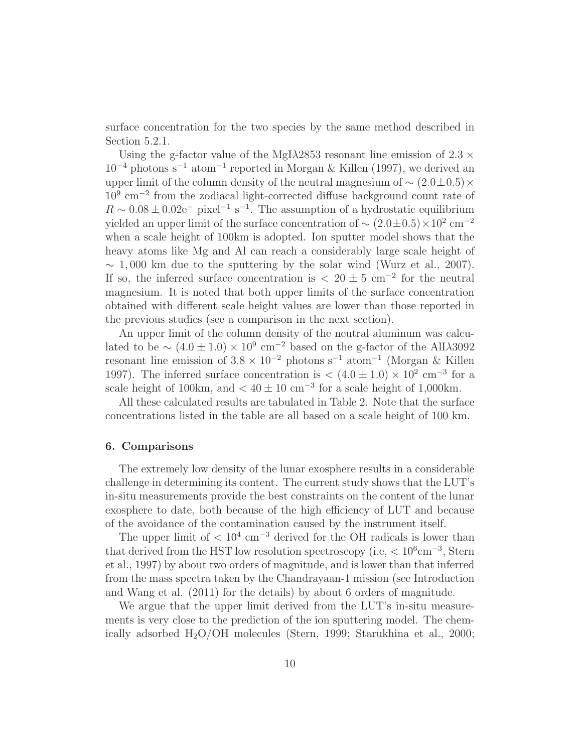surface concentration for the two species by the same method described in Section 5.2.1.

Using the g-factor value of the MgI $\lambda$ 2853 resonant line emission of 2.3  $\times$  $10^{-4}$  photons s<sup>-1</sup> atom<sup>-1</sup> reported in Morgan & Killen (1997), we derived an upper limit of the column density of the neutral magnesium of  $\sim (2.0 \pm 0.5) \times$ 10<sup>9</sup> cm<sup>−</sup><sup>2</sup> from the zodiacal light-corrected diffuse background count rate of  $R \sim 0.08 \pm 0.02$ e<sup>-</sup> pixel<sup>-1</sup> s<sup>-1</sup>. The assumption of a hydrostatic equilibrium yielded an upper limit of the surface concentration of  $\sim (2.0 \pm 0.5) \times 10^2$  cm<sup>-2</sup> when a scale height of 100km is adopted. Ion sputter model shows that the heavy atoms like Mg and Al can reach a considerably large scale height of  $\sim 1,000$  km due to the sputtering by the solar wind (Wurz et al., 2007). If so, the inferred surface concentration is  $\langle 20 \pm 5 \text{ cm}^{-2}$  for the neutral magnesium. It is noted that both upper limits of the surface concentration obtained with different scale height values are lower than those reported in the previous studies (see a comparison in the next section).

An upper limit of the column density of the neutral aluminum was calculated to be  $\sim (4.0 \pm 1.0) \times 10^9$  cm<sup>-2</sup> based on the g-factor of the AlI $\lambda$ 3092 resonant line emission of  $3.8 \times 10^{-2}$  photons s<sup>-1</sup> atom<sup>-1</sup> (Morgan & Killen 1997). The inferred surface concentration is  $\langle (4.0 \pm 1.0) \times 10^{2} \text{ cm}^{-3} \text{ for a}$ scale height of 100km, and  $< 40 \pm 10$  cm<sup>-3</sup> for a scale height of 1,000km.

All these calculated results are tabulated in Table 2. Note that the surface concentrations listed in the table are all based on a scale height of 100 km.

## 6. Comparisons

The extremely low density of the lunar exosphere results in a considerable challenge in determining its content. The current study shows that the LUT's in-situ measurements provide the best constraints on the content of the lunar exosphere to date, both because of the high efficiency of LUT and because of the avoidance of the contamination caused by the instrument itself.

The upper limit of  $\rm < 10^4 \ cm^{-3}$  derived for the OH radicals is lower than that derived from the HST low resolution spectroscopy (i.e,  $\langle 10^6 \text{cm}^{-3}, \text{Stern} \rangle$ et al., 1997) by about two orders of magnitude, and is lower than that inferred from the mass spectra taken by the Chandrayaan-1 mission (see Introduction and Wang et al. (2011) for the details) by about 6 orders of magnitude.

We argue that the upper limit derived from the LUT's in-situ measurements is very close to the prediction of the ion sputtering model. The chemically adsorbed  $H_2O/OH$  molecules (Stern, 1999; Starukhina et al., 2000;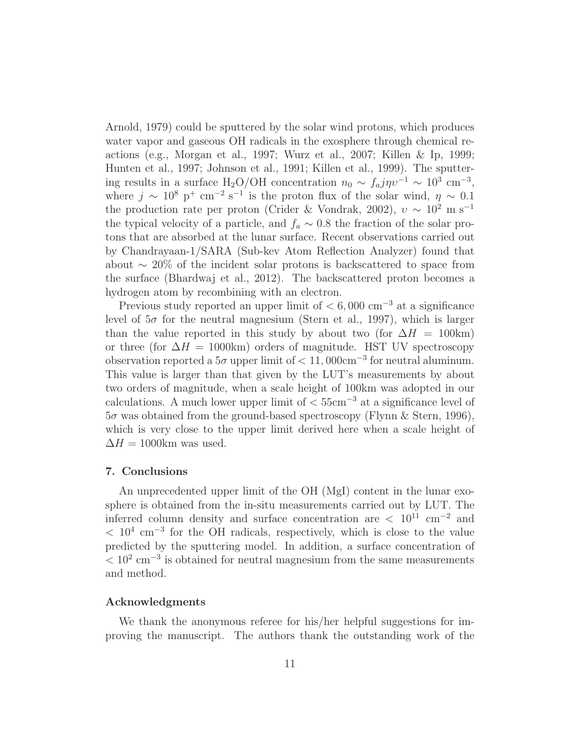Arnold, 1979) could be sputtered by the solar wind protons, which produces water vapor and gaseous OH radicals in the exosphere through chemical reactions (e.g., Morgan et al., 1997; Wurz et al., 2007; Killen & Ip, 1999; Hunten et al., 1997; Johnson et al., 1991; Killen et al., 1999). The sputtering results in a surface H<sub>2</sub>O/OH concentration  $n_0 \sim f_a j \eta v^{-1} \sim 10^3$  cm<sup>-3</sup>, where  $j \sim 10^8 \text{ p}^+ \text{ cm}^{-2} \text{ s}^{-1}$  is the proton flux of the solar wind,  $\eta \sim 0.1$ the production rate per proton (Crider & Vondrak, 2002),  $v \sim 10^2$  m s<sup>-1</sup> the typical velocity of a particle, and  $f_a \sim 0.8$  the fraction of the solar protons that are absorbed at the lunar surface. Recent observations carried out by Chandrayaan-1/SARA (Sub-kev Atom Reflection Analyzer) found that about ∼ 20% of the incident solar protons is backscattered to space from the surface (Bhardwaj et al., 2012). The backscattered proton becomes a hydrogen atom by recombining with an electron.

Previous study reported an upper limit of  $< 6,000$  cm<sup>-3</sup> at a significance level of  $5\sigma$  for the neutral magnesium (Stern et al., 1997), which is larger than the value reported in this study by about two (for  $\Delta H = 100 \text{km}$ ) or three (for  $\Delta H = 1000 \text{km}$ ) orders of magnitude. HST UV spectroscopy observation reported a  $5\sigma$  upper limit of  $< 11,000 \text{cm}^{-3}$  for neutral aluminum. This value is larger than that given by the LUT's measurements by about two orders of magnitude, when a scale height of 100km was adopted in our calculations. A much lower upper limit of  $< 55 \text{cm}^{-3}$  at a significance level of  $5\sigma$  was obtained from the ground-based spectroscopy (Flynn & Stern, 1996), which is very close to the upper limit derived here when a scale height of  $\Delta H = 1000$ km was used.

## 7. Conclusions

An unprecedented upper limit of the OH (MgI) content in the lunar exosphere is obtained from the in-situ measurements carried out by LUT. The inferred column density and surface concentration are  $\langle 10^{11} \text{ cm}^{-2} \text{ and}$  $< 10<sup>4</sup>$  cm<sup>-3</sup> for the OH radicals, respectively, which is close to the value predicted by the sputtering model. In addition, a surface concentration of  $< 10<sup>2</sup>$  cm<sup>-3</sup> is obtained for neutral magnesium from the same measurements and method.

## Acknowledgments

We thank the anonymous referee for his/her helpful suggestions for improving the manuscript. The authors thank the outstanding work of the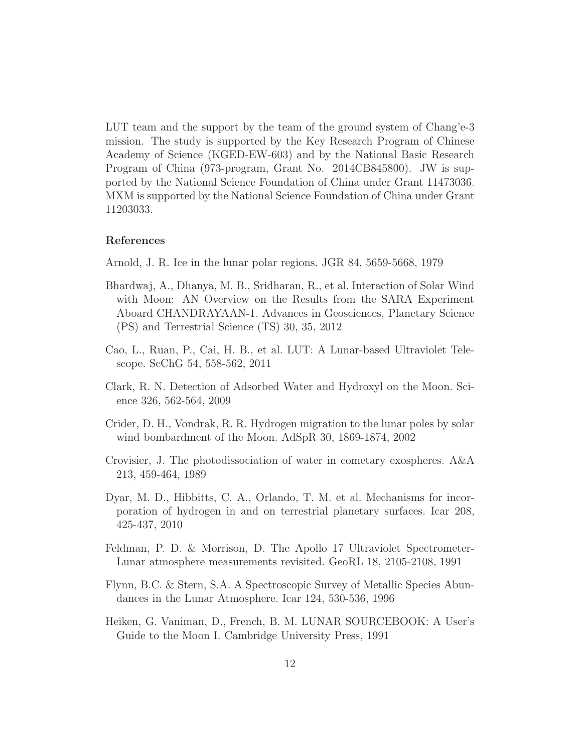LUT team and the support by the team of the ground system of Chang'e-3 mission. The study is supported by the Key Research Program of Chinese Academy of Science (KGED-EW-603) and by the National Basic Research Program of China (973-program, Grant No. 2014CB845800). JW is supported by the National Science Foundation of China under Grant 11473036. MXM is supported by the National Science Foundation of China under Grant 11203033.

## References

- Arnold, J. R. Ice in the lunar polar regions. JGR 84, 5659-5668, 1979
- Bhardwaj, A., Dhanya, M. B., Sridharan, R., et al. Interaction of Solar Wind with Moon: AN Overview on the Results from the SARA Experiment Aboard CHANDRAYAAN-1. Advances in Geosciences, Planetary Science (PS) and Terrestrial Science (TS) 30, 35, 2012
- Cao, L., Ruan, P., Cai, H. B., et al. LUT: A Lunar-based Ultraviolet Telescope. ScChG 54, 558-562, 2011
- Clark, R. N. Detection of Adsorbed Water and Hydroxyl on the Moon. Science 326, 562-564, 2009
- Crider, D. H., Vondrak, R. R. Hydrogen migration to the lunar poles by solar wind bombardment of the Moon. AdSpR 30, 1869-1874, 2002
- Crovisier, J. The photodissociation of water in cometary exospheres. A&A 213, 459-464, 1989
- Dyar, M. D., Hibbitts, C. A., Orlando, T. M. et al. Mechanisms for incorporation of hydrogen in and on terrestrial planetary surfaces. Icar 208, 425-437, 2010
- Feldman, P. D. & Morrison, D. The Apollo 17 Ultraviolet Spectrometer-Lunar atmosphere measurements revisited. GeoRL 18, 2105-2108, 1991
- Flynn, B.C. & Stern, S.A. A Spectroscopic Survey of Metallic Species Abundances in the Lunar Atmosphere. Icar 124, 530-536, 1996
- Heiken, G. Vaniman, D., French, B. M. LUNAR SOURCEBOOK: A User's Guide to the Moon I. Cambridge University Press, 1991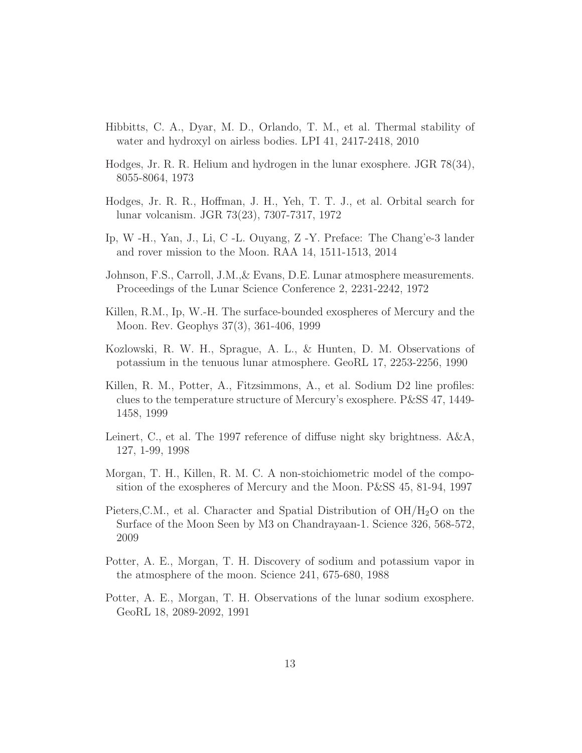- Hibbitts, C. A., Dyar, M. D., Orlando, T. M., et al. Thermal stability of water and hydroxyl on airless bodies. LPI 41, 2417-2418, 2010
- Hodges, Jr. R. R. Helium and hydrogen in the lunar exosphere. JGR 78(34), 8055-8064, 1973
- Hodges, Jr. R. R., Hoffman, J. H., Yeh, T. T. J., et al. Orbital search for lunar volcanism. JGR 73(23), 7307-7317, 1972
- Ip, W -H., Yan, J., Li, C -L. Ouyang, Z -Y. Preface: The Chang'e-3 lander and rover mission to the Moon. RAA 14, 1511-1513, 2014
- Johnson, F.S., Carroll, J.M.,& Evans, D.E. Lunar atmosphere measurements. Proceedings of the Lunar Science Conference 2, 2231-2242, 1972
- Killen, R.M., Ip, W.-H. The surface-bounded exospheres of Mercury and the Moon. Rev. Geophys 37(3), 361-406, 1999
- Kozlowski, R. W. H., Sprague, A. L., & Hunten, D. M. Observations of potassium in the tenuous lunar atmosphere. GeoRL 17, 2253-2256, 1990
- Killen, R. M., Potter, A., Fitzsimmons, A., et al. Sodium D2 line profiles: clues to the temperature structure of Mercury's exosphere. P&SS 47, 1449- 1458, 1999
- Leinert, C., et al. The 1997 reference of diffuse night sky brightness. A&A, 127, 1-99, 1998
- Morgan, T. H., Killen, R. M. C. A non-stoichiometric model of the composition of the exospheres of Mercury and the Moon. P&SS 45, 81-94, 1997
- Pieters, C.M., et al. Character and Spatial Distribution of  $OH/H<sub>2</sub>O$  on the Surface of the Moon Seen by M3 on Chandrayaan-1. Science 326, 568-572, 2009
- Potter, A. E., Morgan, T. H. Discovery of sodium and potassium vapor in the atmosphere of the moon. Science 241, 675-680, 1988
- Potter, A. E., Morgan, T. H. Observations of the lunar sodium exosphere. GeoRL 18, 2089-2092, 1991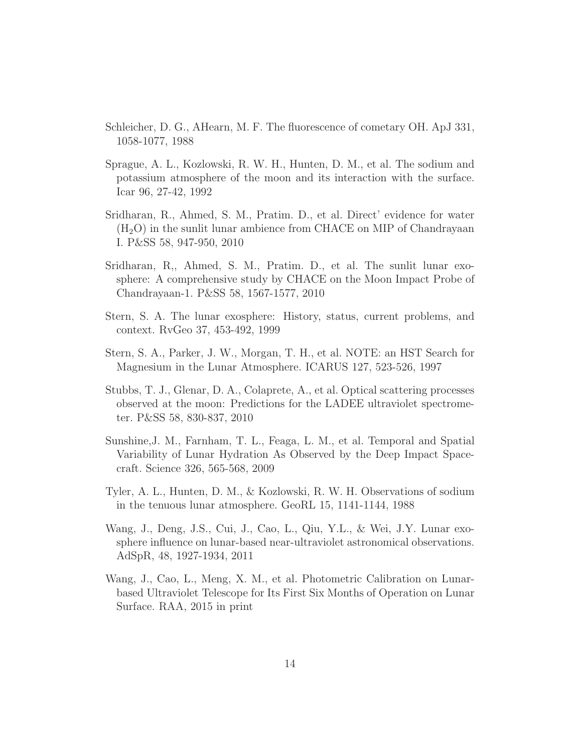- Schleicher, D. G., AHearn, M. F. The fluorescence of cometary OH. ApJ 331, 1058-1077, 1988
- Sprague, A. L., Kozlowski, R. W. H., Hunten, D. M., et al. The sodium and potassium atmosphere of the moon and its interaction with the surface. Icar 96, 27-42, 1992
- Sridharan, R., Ahmed, S. M., Pratim. D., et al. Direct' evidence for water  $(H<sub>2</sub>O)$  in the sunlit lunar ambience from CHACE on MIP of Chandrayaan I. P&SS 58, 947-950, 2010
- Sridharan, R,, Ahmed, S. M., Pratim. D., et al. The sunlit lunar exosphere: A comprehensive study by CHACE on the Moon Impact Probe of Chandrayaan-1. P&SS 58, 1567-1577, 2010
- Stern, S. A. The lunar exosphere: History, status, current problems, and context. RvGeo 37, 453-492, 1999
- Stern, S. A., Parker, J. W., Morgan, T. H., et al. NOTE: an HST Search for Magnesium in the Lunar Atmosphere. ICARUS 127, 523-526, 1997
- Stubbs, T. J., Glenar, D. A., Colaprete, A., et al. Optical scattering processes observed at the moon: Predictions for the LADEE ultraviolet spectrometer. P&SS 58, 830-837, 2010
- Sunshine,J. M., Farnham, T. L., Feaga, L. M., et al. Temporal and Spatial Variability of Lunar Hydration As Observed by the Deep Impact Spacecraft. Science 326, 565-568, 2009
- Tyler, A. L., Hunten, D. M., & Kozlowski, R. W. H. Observations of sodium in the tenuous lunar atmosphere. GeoRL 15, 1141-1144, 1988
- Wang, J., Deng, J.S., Cui, J., Cao, L., Qiu, Y.L., & Wei, J.Y. Lunar exosphere influence on lunar-based near-ultraviolet astronomical observations. AdSpR, 48, 1927-1934, 2011
- Wang, J., Cao, L., Meng, X. M., et al. Photometric Calibration on Lunarbased Ultraviolet Telescope for Its First Six Months of Operation on Lunar Surface. RAA, 2015 in print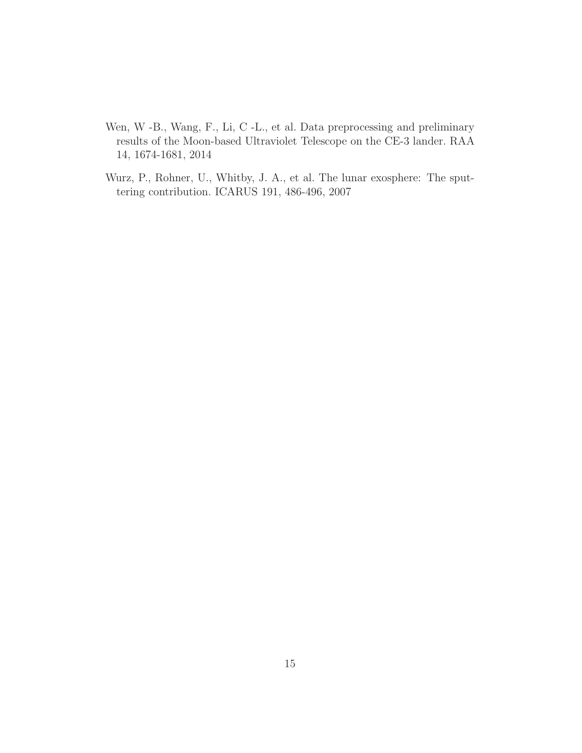- Wen, W -B., Wang, F., Li, C -L., et al. Data preprocessing and preliminary results of the Moon-based Ultraviolet Telescope on the CE-3 lander. RAA 14, 1674-1681, 2014
- Wurz, P., Rohner, U., Whitby, J. A., et al. The lunar exosphere: The sputtering contribution. ICARUS 191, 486-496, 2007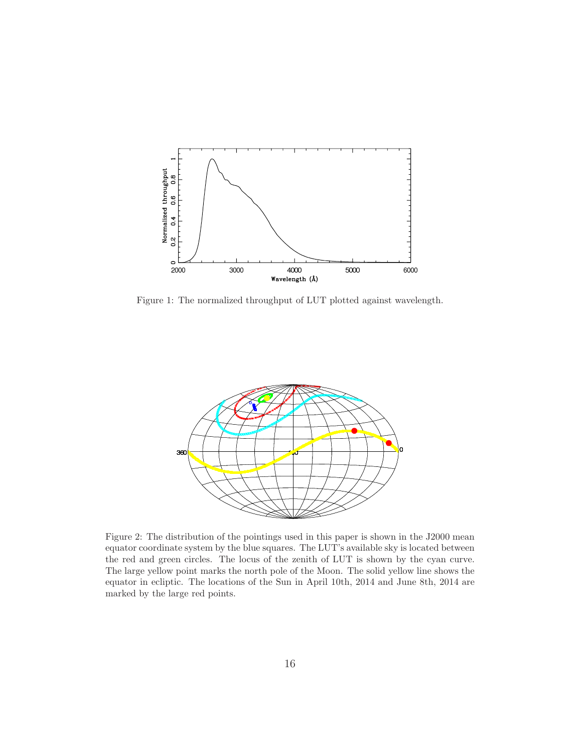

Figure 1: The normalized throughput of LUT plotted against wavelength.



Figure 2: The distribution of the pointings used in this paper is shown in the J2000 mean equator coordinate system by the blue squares. The LUT's available sky is located between the red and green circles. The locus of the zenith of LUT is shown by the cyan curve. The large yellow point marks the north pole of the Moon. The solid yellow line shows the equator in ecliptic. The locations of the Sun in April 10th, 2014 and June 8th, 2014 are marked by the large red points.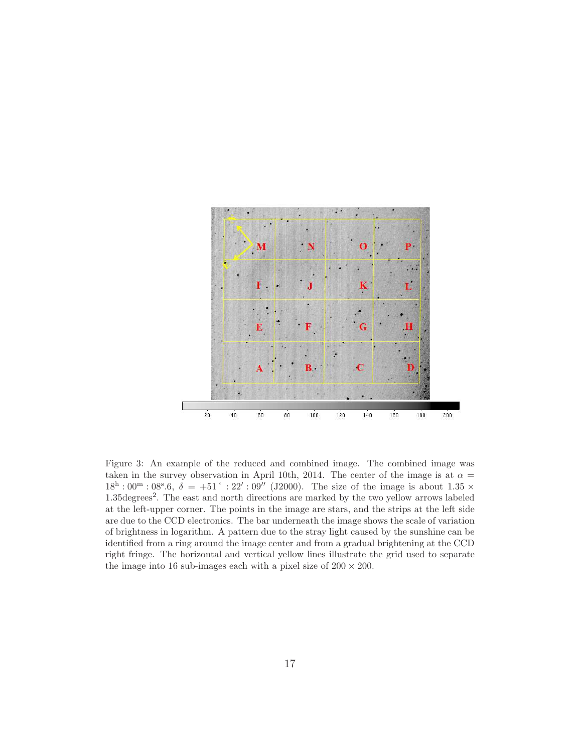

Figure 3: An example of the reduced and combined image. The combined image was taken in the survey observation in April 10th, 2014. The center of the image is at  $\alpha =$  $18^{\rm h}:00^{\rm m}:08^{\rm s}.6, \ \delta = +51$ ° : 22′ : 09″ (J2000). The size of the image is about 1.35 × 1.35degrees<sup>2</sup>. The east and north directions are marked by the two yellow arrows labeled at the left-upper corner. The points in the image are stars, and the strips at the left side are due to the CCD electronics. The bar underneath the image shows the scale of variation of brightness in logarithm. A pattern due to the stray light caused by the sunshine can be identified from a ring around the image center and from a gradual brightening at the CCD right fringe. The horizontal and vertical yellow lines illustrate the grid used to separate the image into 16 sub-images each with a pixel size of  $200 \times 200$ .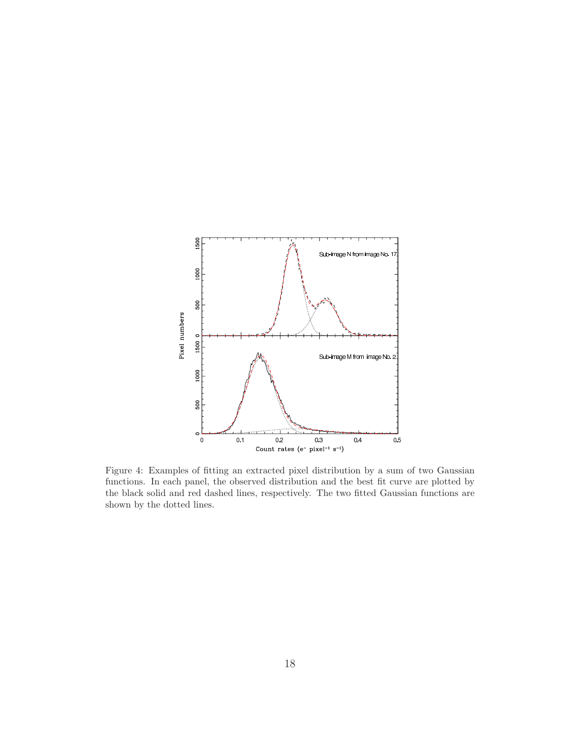

Figure 4: Examples of fitting an extracted pixel distribution by a sum of two Gaussian functions. In each panel, the observed distribution and the best fit curve are plotted by the black solid and red dashed lines, respectively. The two fitted Gaussian functions are shown by the dotted lines.